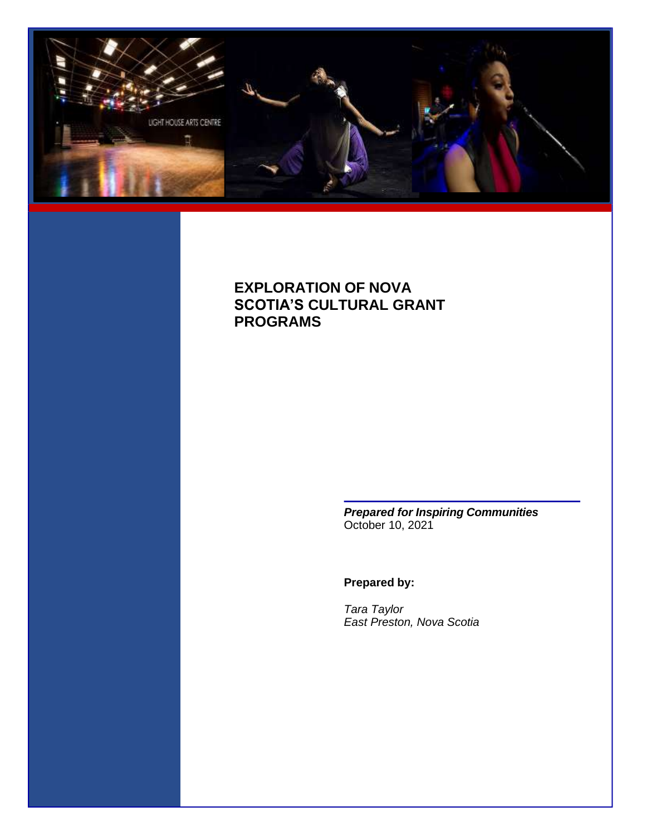

## **EXPLORATION OF NOVA SCOTIA'S CULTURAL GRANT PROGRAMS**

*Prepared for Inspiring Communities* October 10, 2021

### **Prepared by:**

*Tara Taylor East Preston, Nova Scotia*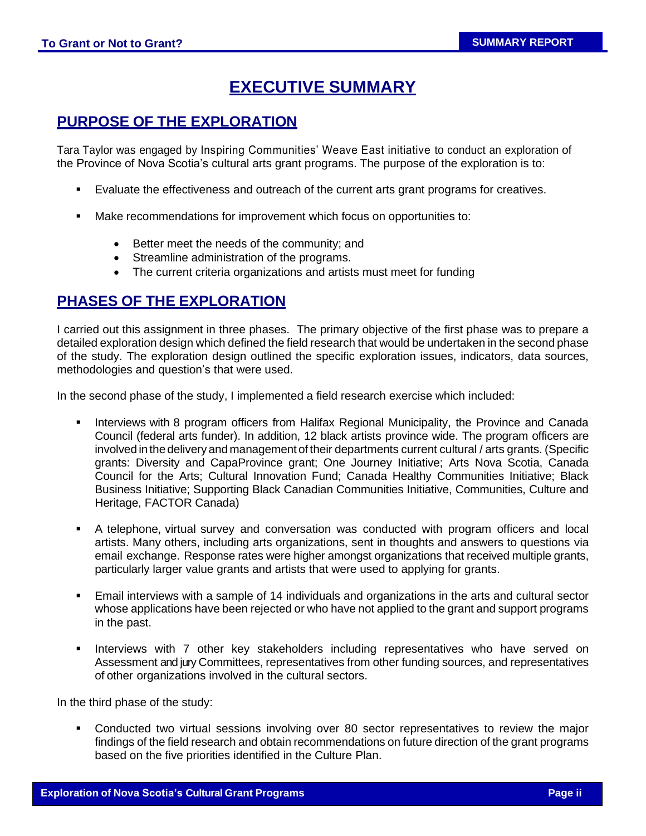# **EXECUTIVE SUMMARY**

## **PURPOSE OF THE EXPLORATION**

Tara Taylor was engaged by Inspiring Communities' Weave East initiative to conduct an exploration of the Province of Nova Scotia's cultural arts grant programs. The purpose of the exploration is to:

- Evaluate the effectiveness and outreach of the current arts grant programs for creatives.
- Make recommendations for improvement which focus on opportunities to:
	- Better meet the needs of the community; and
	- Streamline administration of the programs.
	- The current criteria organizations and artists must meet for funding

### **PHASES OF THE EXPLORATION**

I carried out this assignment in three phases. The primary objective of the first phase was to prepare a detailed exploration design which defined the field research that would be undertaken in the second phase of the study. The exploration design outlined the specific exploration issues, indicators, data sources, methodologies and question's that were used.

In the second phase of the study, I implemented a field research exercise which included:

- Interviews with 8 program officers from Halifax Regional Municipality, the Province and Canada Council (federal arts funder). In addition, 12 black artists province wide. The program officers are involved in the delivery and management of their departments current cultural / arts grants. (Specific grants: Diversity and CapaProvince grant; One Journey Initiative; Arts Nova Scotia, Canada Council for the Arts; Cultural Innovation Fund; Canada Healthy Communities Initiative; Black Business Initiative; Supporting Black Canadian Communities Initiative, Communities, Culture and Heritage, FACTOR Canada)
- A telephone, virtual survey and conversation was conducted with program officers and local artists. Many others, including arts organizations, sent in thoughts and answers to questions via email exchange. Response rates were higher amongst organizations that received multiple grants, particularly larger value grants and artists that were used to applying for grants.
- Email interviews with a sample of 14 individuals and organizations in the arts and cultural sector whose applications have been rejected or who have not applied to the grant and support programs in the past.
- Interviews with 7 other key stakeholders including representatives who have served on Assessment and jury Committees, representatives from other funding sources, and representatives of other organizations involved in the cultural sectors.

In the third phase of the study:

Conducted two virtual sessions involving over 80 sector representatives to review the major findings of the field research and obtain recommendations on future direction of the grant programs based on the five priorities identified in the Culture Plan.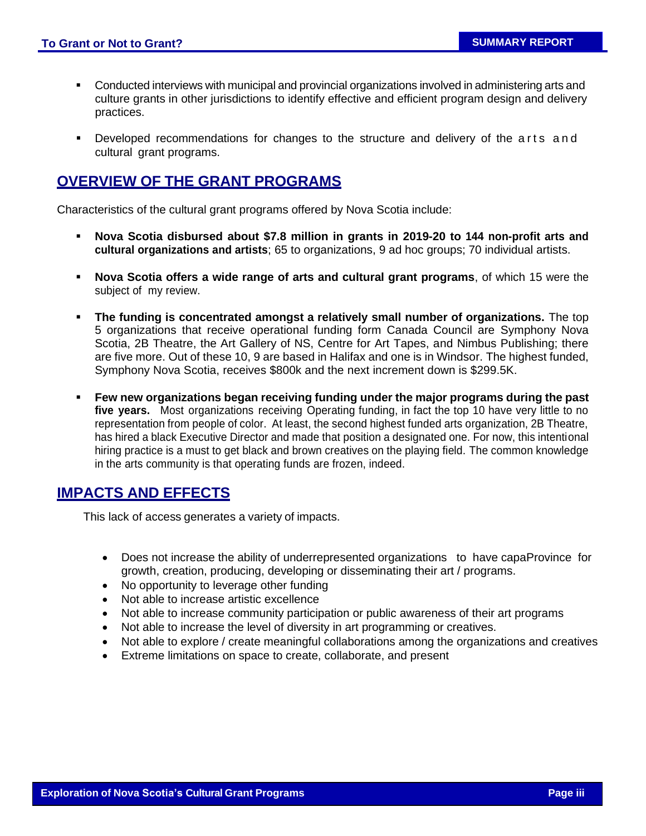- **•** Conducted interviews with municipal and provincial organizations involved in administering arts and culture grants in other jurisdictions to identify effective and efficient program design and delivery practices.
- Developed recommendations for changes to the structure and delivery of the arts and cultural grant programs.

## **OVERVIEW OF THE GRANT PROGRAMS**

Characteristics of the cultural grant programs offered by Nova Scotia include:

- **Nova Scotia disbursed about \$7.8 million in grants in 2019-20 to 144 non-profit arts and cultural organizations and artists**; 65 to organizations, 9 ad hoc groups; 70 individual artists.
- **Nova Scotia offers a wide range of arts and cultural grant programs**, of which 15 were the subject of my review.
- **The funding is concentrated amongst a relatively small number of organizations.** The top 5 organizations that receive operational funding form Canada Council are Symphony Nova Scotia, 2B Theatre, the Art Gallery of NS, Centre for Art Tapes, and Nimbus Publishing; there are five more. Out of these 10, 9 are based in Halifax and one is in Windsor. The highest funded, Symphony Nova Scotia, receives \$800k and the next increment down is \$299.5K.
- **Few new organizations began receiving funding under the major programs during the past five years.** Most organizations receiving Operating funding, in fact the top 10 have very little to no representation from people of color. At least, the second highest funded arts organization, 2B Theatre, has hired a black Executive Director and made that position a designated one. For now, this intentional hiring practice is a must to get black and brown creatives on the playing field. The common knowledge in the arts community is that operating funds are frozen, indeed.

## **IMPACTS AND EFFECTS**

This lack of access generates a variety of impacts.

- Does not increase the ability of underrepresented organizations to have capaProvince for growth, creation, producing, developing or disseminating their art / programs.
- No opportunity to leverage other funding
- Not able to increase artistic excellence
- Not able to increase community participation or public awareness of their art programs
- Not able to increase the level of diversity in art programming or creatives.
- Not able to explore / create meaningful collaborations among the organizations and creatives
- Extreme limitations on space to create, collaborate, and present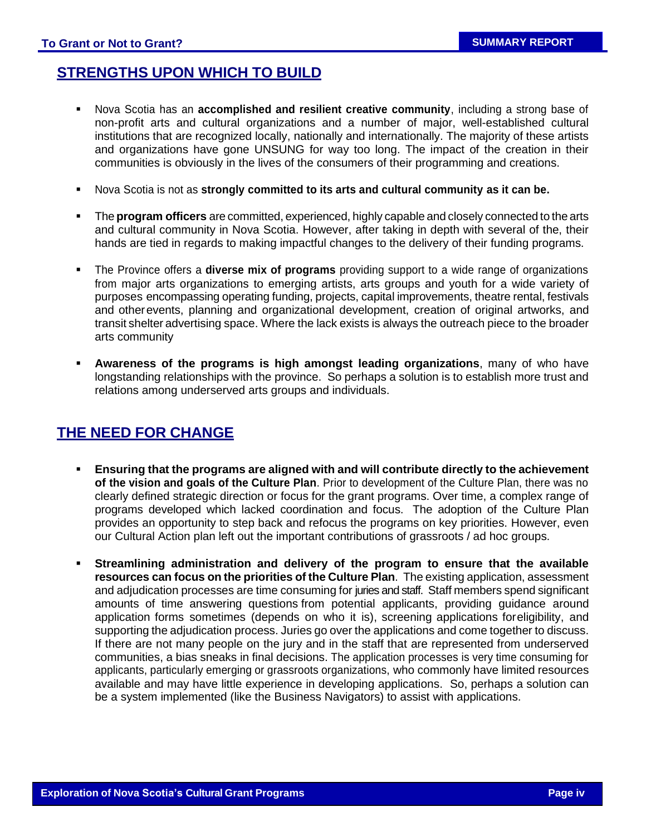## **STRENGTHS UPON WHICH TO BUILD**

- Nova Scotia has an **accomplished and resilient creative community**, including a strong base of non-profit arts and cultural organizations and a number of major, well-established cultural institutions that are recognized locally, nationally and internationally. The majority of these artists and organizations have gone UNSUNG for way too long. The impact of the creation in their communities is obviously in the lives of the consumers of their programming and creations.
- Nova Scotia is not as **strongly committed to its arts and cultural community as it can be.**
- The **program officers** are committed, experienced, highly capable and closely connected to the arts and cultural community in Nova Scotia. However, after taking in depth with several of the, their hands are tied in regards to making impactful changes to the delivery of their funding programs.
- The Province offers a **diverse mix of programs** providing support to a wide range of organizations from major arts organizations to emerging artists, arts groups and youth for a wide variety of purposes encompassing operating funding, projects, capital improvements, theatre rental, festivals and otherevents, planning and organizational development, creation of original artworks, and transit shelter advertising space. Where the lack exists is always the outreach piece to the broader arts community
- **Awareness of the programs is high amongst leading organizations**, many of who have longstanding relationships with the province. So perhaps a solution is to establish more trust and relations among underserved arts groups and individuals.

#### **THE NEED FOR CHANGE**

- **Ensuring that the programs are aligned with and will contribute directly to the achievement of the vision and goals of the Culture Plan**. Prior to development of the Culture Plan, there was no clearly defined strategic direction or focus for the grant programs. Over time, a complex range of programs developed which lacked coordination and focus. The adoption of the Culture Plan provides an opportunity to step back and refocus the programs on key priorities. However, even our Cultural Action plan left out the important contributions of grassroots / ad hoc groups.
- **Streamlining administration and delivery of the program to ensure that the available resources can focus on the priorities of the Culture Plan**. The existing application, assessment and adjudication processes are time consuming for juries and staff. Staff members spend significant amounts of time answering questions from potential applicants, providing guidance around application forms sometimes (depends on who it is), screening applications foreligibility, and supporting the adjudication process. Juries go over the applications and come together to discuss. If there are not many people on the jury and in the staff that are represented from underserved communities, a bias sneaks in final decisions. The application processes is very time consuming for applicants, particularly emerging or grassroots organizations, who commonly have limited resources available and may have little experience in developing applications. So, perhaps a solution can be a system implemented (like the Business Navigators) to assist with applications.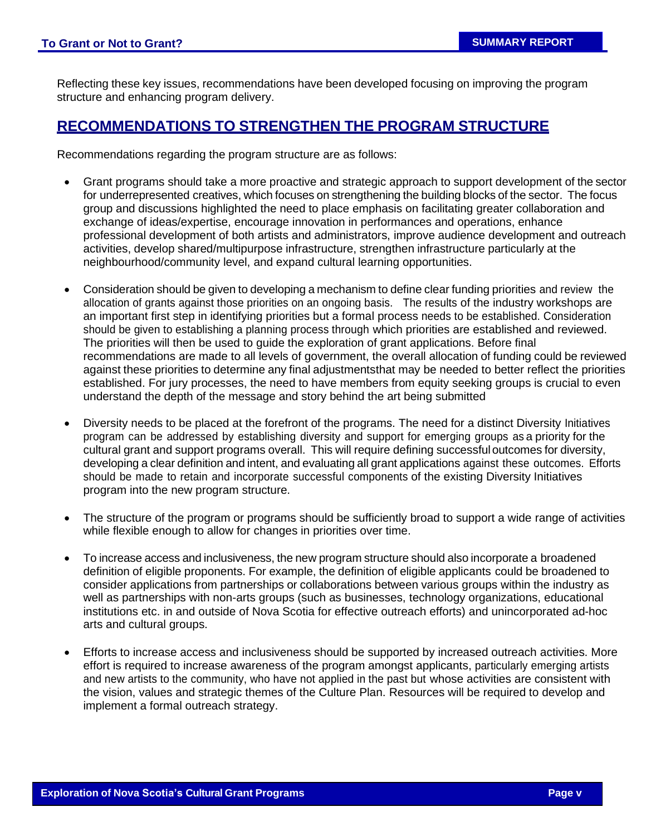Reflecting these key issues, recommendations have been developed focusing on improving the program structure and enhancing program delivery.

#### **RECOMMENDATIONS TO STRENGTHEN THE PROGRAM STRUCTURE**

Recommendations regarding the program structure are as follows:

- Grant programs should take a more proactive and strategic approach to support development of the sector for underrepresented creatives, which focuses on strengthening the building blocks of the sector. The focus group and discussions highlighted the need to place emphasis on facilitating greater collaboration and exchange of ideas/expertise, encourage innovation in performances and operations, enhance professional development of both artists and administrators, improve audience development and outreach activities, develop shared/multipurpose infrastructure, strengthen infrastructure particularly at the neighbourhood/community level, and expand cultural learning opportunities.
- Consideration should be given to developing a mechanism to define clear funding priorities and review the allocation of grants against those priorities on an ongoing basis. The results of the industry workshops are an important first step in identifying priorities but a formal process needs to be established. Consideration should be given to establishing a planning process through which priorities are established and reviewed. The priorities will then be used to guide the exploration of grant applications. Before final recommendations are made to all levels of government, the overall allocation of funding could be reviewed against these priorities to determine any final adjustmentsthat may be needed to better reflect the priorities established. For jury processes, the need to have members from equity seeking groups is crucial to even understand the depth of the message and story behind the art being submitted
- Diversity needs to be placed at the forefront of the programs. The need for a distinct Diversity Initiatives program can be addressed by establishing diversity and support for emerging groups as a priority for the cultural grant and support programs overall. This will require defining successful outcomes for diversity, developing a clear definition and intent, and evaluating all grant applications against these outcomes. Efforts should be made to retain and incorporate successful components of the existing Diversity Initiatives program into the new program structure.
- The structure of the program or programs should be sufficiently broad to support a wide range of activities while flexible enough to allow for changes in priorities over time.
- To increase access and inclusiveness, the new program structure should also incorporate a broadened definition of eligible proponents. For example, the definition of eligible applicants could be broadened to consider applications from partnerships or collaborations between various groups within the industry as well as partnerships with non-arts groups (such as businesses, technology organizations, educational institutions etc. in and outside of Nova Scotia for effective outreach efforts) and unincorporated ad-hoc arts and cultural groups.
- Efforts to increase access and inclusiveness should be supported by increased outreach activities. More effort is required to increase awareness of the program amongst applicants, particularly emerging artists and new artists to the community, who have not applied in the past but whose activities are consistent with the vision, values and strategic themes of the Culture Plan. Resources will be required to develop and implement a formal outreach strategy.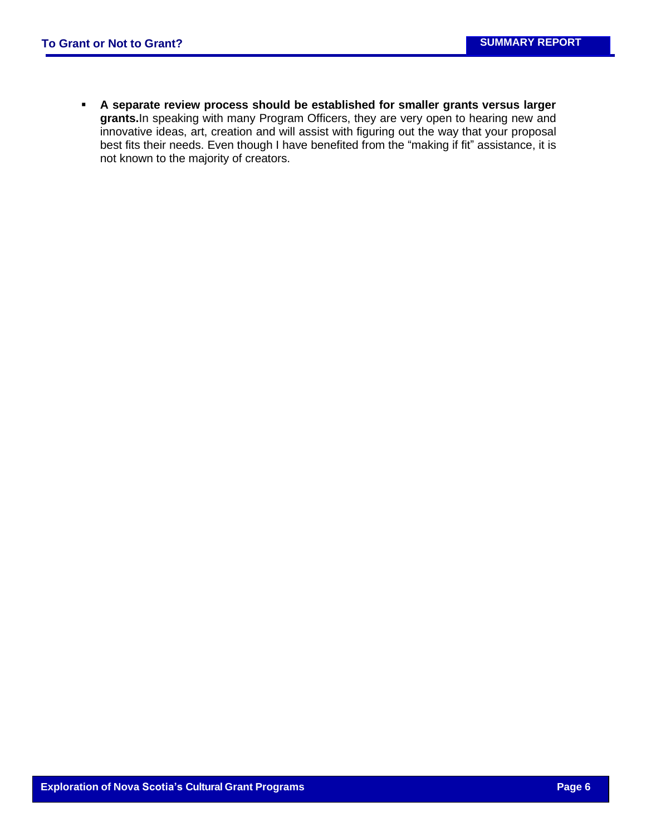▪ **A separate review process should be established for smaller grants versus larger grants.**In speaking with many Program Officers, they are very open to hearing new and innovative ideas, art, creation and will assist with figuring out the way that your proposal best fits their needs. Even though I have benefited from the "making if fit" assistance, it is not known to the majority of creators.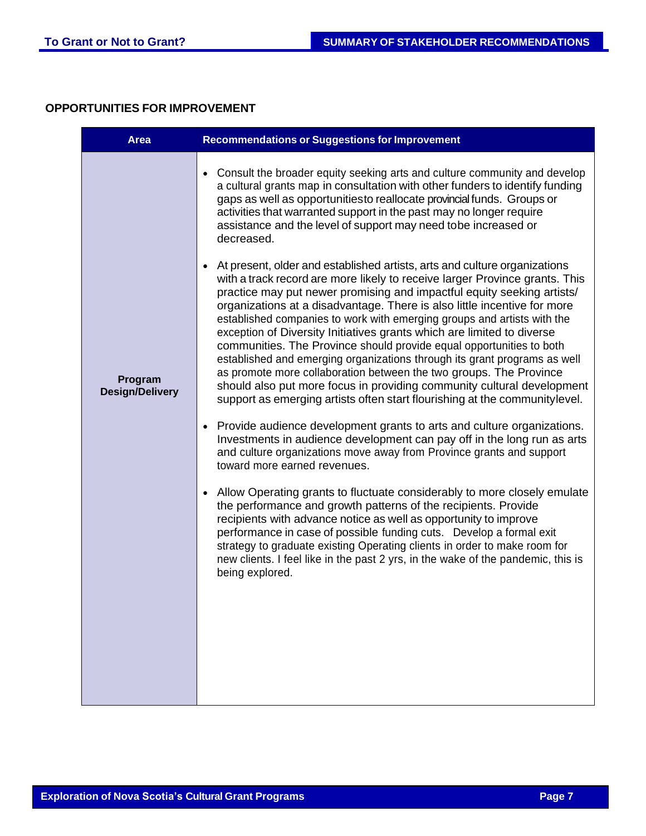#### **OPPORTUNITIES FOR IMPROVEMENT**

| <b>Area</b>                       | <b>Recommendations or Suggestions for Improvement</b>                                                                                                                                                                                                                                                                                                                                                                                                                                                                                                                                                                                                                                                                                                                                                                                                                                                                                                                                                                                                                                                                                                                                                                                                               |
|-----------------------------------|---------------------------------------------------------------------------------------------------------------------------------------------------------------------------------------------------------------------------------------------------------------------------------------------------------------------------------------------------------------------------------------------------------------------------------------------------------------------------------------------------------------------------------------------------------------------------------------------------------------------------------------------------------------------------------------------------------------------------------------------------------------------------------------------------------------------------------------------------------------------------------------------------------------------------------------------------------------------------------------------------------------------------------------------------------------------------------------------------------------------------------------------------------------------------------------------------------------------------------------------------------------------|
| Program<br><b>Design/Delivery</b> | • Consult the broader equity seeking arts and culture community and develop<br>a cultural grants map in consultation with other funders to identify funding<br>gaps as well as opportunitiesto reallocate provincial funds. Groups or<br>activities that warranted support in the past may no longer require<br>assistance and the level of support may need tobe increased or<br>decreased.<br>At present, older and established artists, arts and culture organizations<br>$\bullet$<br>with a track record are more likely to receive larger Province grants. This<br>practice may put newer promising and impactful equity seeking artists/<br>organizations at a disadvantage. There is also little incentive for more<br>established companies to work with emerging groups and artists with the<br>exception of Diversity Initiatives grants which are limited to diverse<br>communities. The Province should provide equal opportunities to both<br>established and emerging organizations through its grant programs as well<br>as promote more collaboration between the two groups. The Province<br>should also put more focus in providing community cultural development<br>support as emerging artists often start flourishing at the communitylevel. |
|                                   | Provide audience development grants to arts and culture organizations.<br>$\bullet$<br>Investments in audience development can pay off in the long run as arts<br>and culture organizations move away from Province grants and support<br>toward more earned revenues.<br>Allow Operating grants to fluctuate considerably to more closely emulate<br>$\bullet$<br>the performance and growth patterns of the recipients. Provide<br>recipients with advance notice as well as opportunity to improve<br>performance in case of possible funding cuts. Develop a formal exit<br>strategy to graduate existing Operating clients in order to make room for<br>new clients. I feel like in the past 2 yrs, in the wake of the pandemic, this is<br>being explored.                                                                                                                                                                                                                                                                                                                                                                                                                                                                                                    |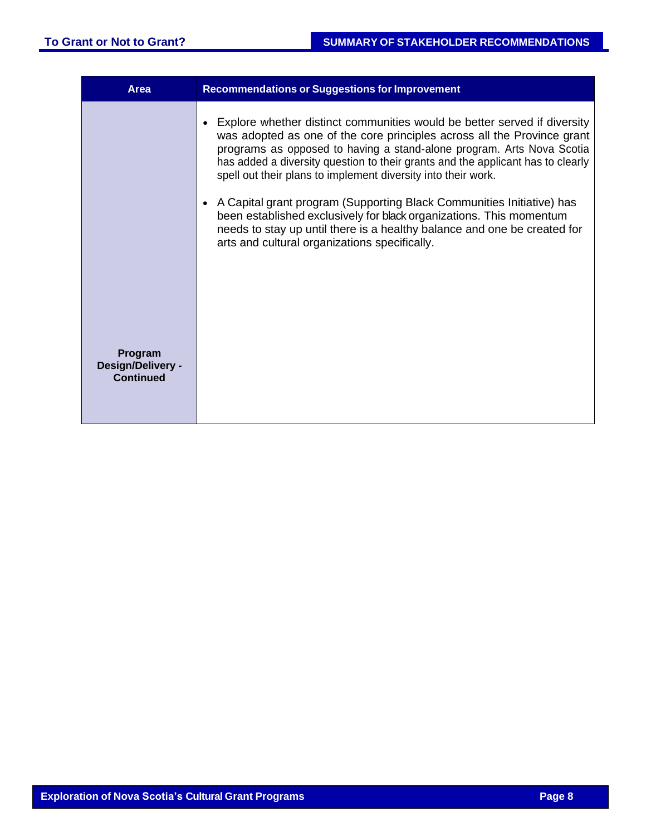| Area                                      | <b>Recommendations or Suggestions for Improvement</b>                                                                                                                                                                                                                                                                                                                            |
|-------------------------------------------|----------------------------------------------------------------------------------------------------------------------------------------------------------------------------------------------------------------------------------------------------------------------------------------------------------------------------------------------------------------------------------|
|                                           | Explore whether distinct communities would be better served if diversity<br>was adopted as one of the core principles across all the Province grant<br>programs as opposed to having a stand-alone program. Arts Nova Scotia<br>has added a diversity question to their grants and the applicant has to clearly<br>spell out their plans to implement diversity into their work. |
|                                           | A Capital grant program (Supporting Black Communities Initiative) has<br>been established exclusively for black organizations. This momentum<br>needs to stay up until there is a healthy balance and one be created for<br>arts and cultural organizations specifically.                                                                                                        |
|                                           |                                                                                                                                                                                                                                                                                                                                                                                  |
| Program<br>Design/Delivery -<br>Continued |                                                                                                                                                                                                                                                                                                                                                                                  |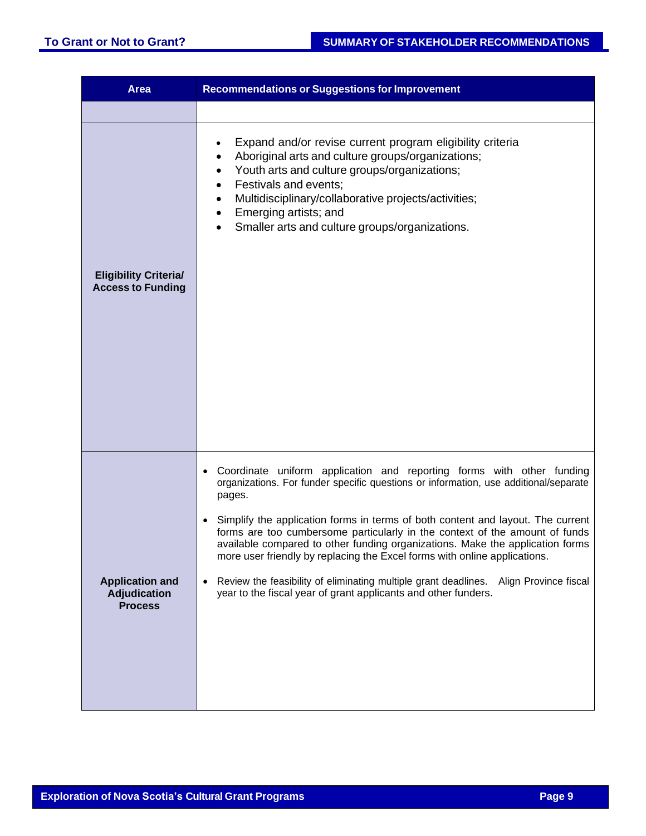| <b>Area</b>                                              | <b>Recommendations or Suggestions for Improvement</b>                                                                                                                                                                                                                                                                                                                                                                                                                                                                                                                                                                                                                                                        |
|----------------------------------------------------------|--------------------------------------------------------------------------------------------------------------------------------------------------------------------------------------------------------------------------------------------------------------------------------------------------------------------------------------------------------------------------------------------------------------------------------------------------------------------------------------------------------------------------------------------------------------------------------------------------------------------------------------------------------------------------------------------------------------|
|                                                          |                                                                                                                                                                                                                                                                                                                                                                                                                                                                                                                                                                                                                                                                                                              |
| <b>Eligibility Criteria/</b><br><b>Access to Funding</b> | Expand and/or revise current program eligibility criteria<br>$\bullet$<br>Aboriginal arts and culture groups/organizations;<br>Youth arts and culture groups/organizations;<br>٠<br>Festivals and events;<br>Multidisciplinary/collaborative projects/activities;<br>$\bullet$<br>Emerging artists; and<br>٠<br>Smaller arts and culture groups/organizations.<br>$\bullet$                                                                                                                                                                                                                                                                                                                                  |
| <b>Application and</b><br>Adjudication<br><b>Process</b> | Coordinate uniform application and reporting forms with other funding<br>$\bullet$<br>organizations. For funder specific questions or information, use additional/separate<br>pages.<br>Simplify the application forms in terms of both content and layout. The current<br>$\bullet$<br>forms are too cumbersome particularly in the context of the amount of funds<br>available compared to other funding organizations. Make the application forms<br>more user friendly by replacing the Excel forms with online applications.<br>Review the feasibility of eliminating multiple grant deadlines.<br>Align Province fiscal<br>$\bullet$<br>year to the fiscal year of grant applicants and other funders. |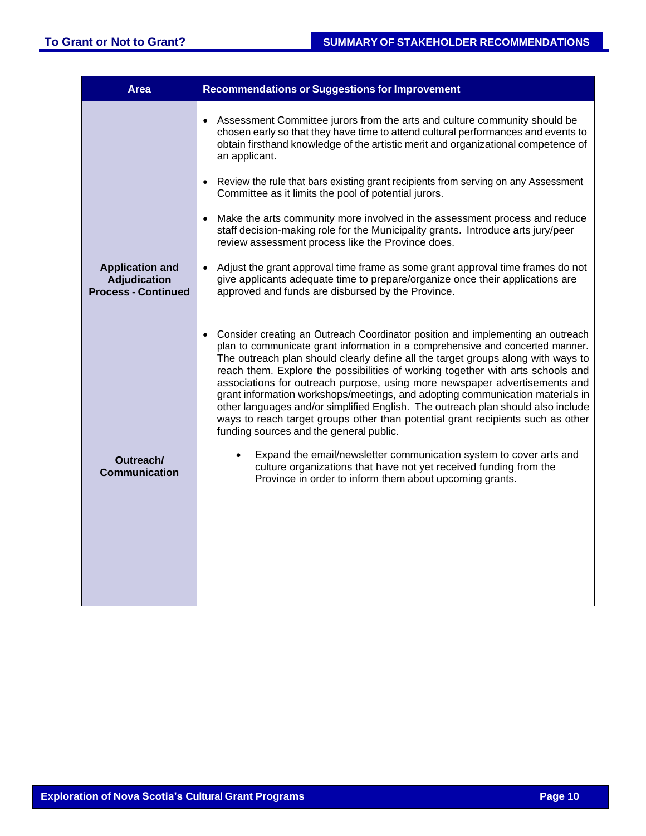| <b>Area</b>                                                                 | <b>Recommendations or Suggestions for Improvement</b>                                                                                                                                                                                                                                                                                                                                                                                                                                                                                                                                                                                                                                                                                                                                                        |
|-----------------------------------------------------------------------------|--------------------------------------------------------------------------------------------------------------------------------------------------------------------------------------------------------------------------------------------------------------------------------------------------------------------------------------------------------------------------------------------------------------------------------------------------------------------------------------------------------------------------------------------------------------------------------------------------------------------------------------------------------------------------------------------------------------------------------------------------------------------------------------------------------------|
|                                                                             | • Assessment Committee jurors from the arts and culture community should be<br>chosen early so that they have time to attend cultural performances and events to<br>obtain firsthand knowledge of the artistic merit and organizational competence of<br>an applicant.                                                                                                                                                                                                                                                                                                                                                                                                                                                                                                                                       |
|                                                                             | • Review the rule that bars existing grant recipients from serving on any Assessment<br>Committee as it limits the pool of potential jurors.                                                                                                                                                                                                                                                                                                                                                                                                                                                                                                                                                                                                                                                                 |
|                                                                             | • Make the arts community more involved in the assessment process and reduce<br>staff decision-making role for the Municipality grants. Introduce arts jury/peer<br>review assessment process like the Province does.                                                                                                                                                                                                                                                                                                                                                                                                                                                                                                                                                                                        |
| <b>Application and</b><br><b>Adjudication</b><br><b>Process - Continued</b> | • Adjust the grant approval time frame as some grant approval time frames do not<br>give applicants adequate time to prepare/organize once their applications are<br>approved and funds are disbursed by the Province.                                                                                                                                                                                                                                                                                                                                                                                                                                                                                                                                                                                       |
|                                                                             | Consider creating an Outreach Coordinator position and implementing an outreach<br>$\bullet$<br>plan to communicate grant information in a comprehensive and concerted manner.<br>The outreach plan should clearly define all the target groups along with ways to<br>reach them. Explore the possibilities of working together with arts schools and<br>associations for outreach purpose, using more newspaper advertisements and<br>grant information workshops/meetings, and adopting communication materials in<br>other languages and/or simplified English. The outreach plan should also include<br>ways to reach target groups other than potential grant recipients such as other<br>funding sources and the general public.<br>Expand the email/newsletter communication system to cover arts and |
| Outreach/<br><b>Communication</b>                                           | culture organizations that have not yet received funding from the<br>Province in order to inform them about upcoming grants.                                                                                                                                                                                                                                                                                                                                                                                                                                                                                                                                                                                                                                                                                 |
|                                                                             |                                                                                                                                                                                                                                                                                                                                                                                                                                                                                                                                                                                                                                                                                                                                                                                                              |